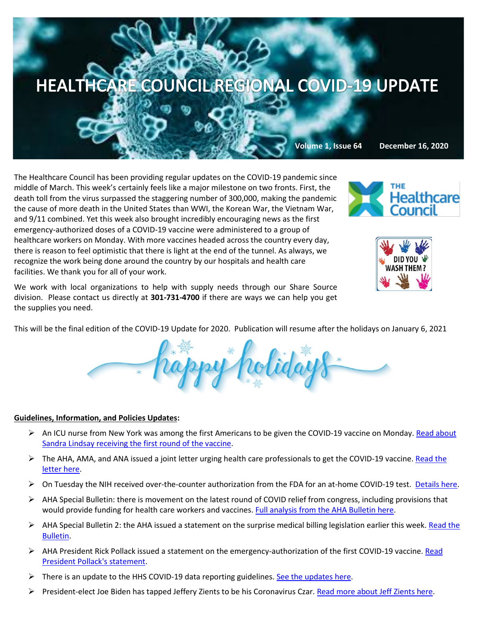

The Healthcare Council has been providing regular updates on the COVID-19 pandemic since middle of March. This week's certainly feels like a major milestone on two fronts. First, the death toll from the virus surpassed the staggering number of 300,000, making the pandemic the cause of more death in the United States than WWI, the Korean War, the Vietnam War, and 9/11 combined. Yet this week also brought incredibly encouraging news as the first emergency-authorized doses of a COVID-19 vaccine were administered to a group of healthcare workers on Monday. With more vaccines headed across the country every day, there is reason to feel optimistic that there is light at the end of the tunnel. As always, we recognize the work being done around the country by our hospitals and health care facilities. We thank you for all of your work.





We work with local organizations to help with supply needs through our Share Source division. Please contact us directly at **301-731-4700** if there are ways we can help you get the supplies you need.

This will be the final edition of the COVID-19 Update for 2020. Publication will resume after the holidays on January 6, 2021



## **Guidelines, Information, and Policies Updates:**

- An ICU nurse from New York was among the first Americans to be given the COVID-19 vaccine on Monday. Read about [Sandra Lindsay receiving the first round of the vaccine.](https://www.cnn.com/2020/12/14/us/coronavirus-vaccine-first-shot/index.html)
- $\triangleright$  The AHA, AMA, and ANA issued a joint letter urging health care professionals to get the COVID-19 vaccine. Read the [letter here.](https://www.aha.org/press-releases/2020-12-15-aha-ama-and-ana-urge-health-care-professionals-take-covid-19-vaccine)
- On Tuesday the NIH received over-the-counter authorization from the FDA for an at-home COVID-19 test. [Details here.](https://www.nih.gov/news-events/news-releases/nih-funded-covid-19-home-test-first-receive-over-counter-authorization-fda)
- $\triangleright$  AHA Special Bulletin: there is movement on the latest round of COVID relief from congress, including provisions that would provide funding for health care workers and vaccines[. Full analysis from the AHA Bulletin here.](https://contentsharing.net/actions/email_web_version.cfm?ep=Bdhtp-zVuqFkgQiV6-lxty0f-nrLBJWzuTngPvD-5dUj05amqYpQR0JTlSy79tFSGTyauvNB6M51jMVWp9LLgbtAf20nPmbwVJZD9aSyWkefo24obOwaT9jPzXGtYiMz)
- $\triangleright$  AHA Special Bulletin 2: the AHA issued a statement on the surprise medical billing legislation earlier this week. Read the [Bulletin.](https://www.aha.org/special-bulletin/2020-12-12-special-bulletin-text-bipartisan-bicameral-surprise-medical-billing)
- $\triangleright$  AHA President Rick Pollack issued a statement on the emergency-authorization of the first COVID-19 vaccine. Read [President Pollack's statement.](https://www.aha.org/press-releases/2020-12-11-aha-statement-fda-emergency-use-authorization-pfizer-covid-19-vaccine)
- $\triangleright$  There is an update to the HHS COVID-19 data reporting guidelines[. See the updates here.](https://contentsharing.net/actions/email_web_version.cfm?ep=Bdhtp-zVuqFkgQiV6-lxty0f-nrLBJWzuTngPvD-5dXnU2mvahEi1E_sJUdUJI5q9IkOttJHgbya_NObCUsrVx4_eICdgXkSOHhSHo5iBO5XVeTX215VTfRZGRLBzu7Q)
- **President-elect Joe Biden has tapped Jeffery Zients to be his Coronavirus Czar. [Read more about Jeff Zients here.](https://www.wsj.com/articles/huge-challenge-awaits-jeffrey-zients-bidens-coronavirus-czar-11608037209)**